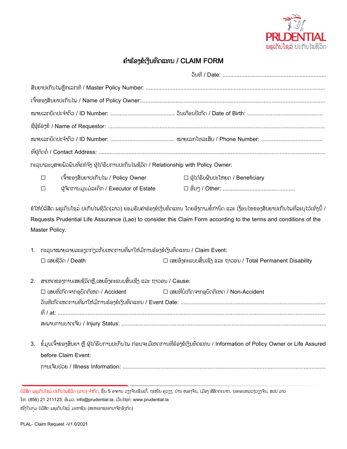

## ຄຳຮ້ອງຂໍເງິນທົດແທນ /  $CLAIM$  FORM

| ກະລຸນາລະບຸສາຍພົວພັນທີ່ແທ້ຈິງ ຜູ້ໄດ້ຮັບການປະກັນໄພຊີວິດ / Relationship with Policy Owner:                                                                                                                              |                                                                                                                                                                                                                                                                  |                                                                                                                                                         |                                                                    |  |
|----------------------------------------------------------------------------------------------------------------------------------------------------------------------------------------------------------------------|------------------------------------------------------------------------------------------------------------------------------------------------------------------------------------------------------------------------------------------------------------------|---------------------------------------------------------------------------------------------------------------------------------------------------------|--------------------------------------------------------------------|--|
|                                                                                                                                                                                                                      | $\Box$                                                                                                                                                                                                                                                           | ເຈົ້າຂອງສັນຍາປະກັນໄພ / Policy Owner                                                                                                                     | $\square$ ຜູ້ໄດ້ຮັບຜິນປະໂຫຍດ / Beneficiary                         |  |
|                                                                                                                                                                                                                      | $\Box$                                                                                                                                                                                                                                                           | ຜູ້ຈັດການມູນມໍລະດຶກ / Executor of Estate                                                                                                                |                                                                    |  |
| Requests Prudential Life Assurance (Lao) to consider this Claim Form according to the terms and conditions of the<br>Master Policy.<br>1. ກະລຸນາໝາຍລາຍລະອຽດກ່ຽວກັບເຫດການທີ່ພາໃຫ້ມີການຮ້ອງຂໍເງິນທິດແທນ / Claim Event: |                                                                                                                                                                                                                                                                  |                                                                                                                                                         |                                                                    |  |
|                                                                                                                                                                                                                      |                                                                                                                                                                                                                                                                  | $\square$ เสยຊีอิก / Death                                                                                                                              | $\Box$ ເສຍອິງຄະແບບສິ້ນເຊິ່ງ ແລະ ຖາວອນ / Total Permanent Disability |  |
| 2.                                                                                                                                                                                                                   | ສາເຫດຂອງການເສຍຊີວິດຫຼື,ເສຍອີງຄະແບບສິ້ນເຊີງ ແລະ ຖາວອນ / Cause:<br>$\Box$ ເສຍທີ່ບໍ່ເກີດຈາກອຸບັດຕິເຫດ / Non-Accident<br>$\square$ ເສຍທີ່ເກີດຈາກອຸບັດຕິເຫດ / Accident<br>ວັນທີ່ເກີດເຫດການທີ່ພາໃຫ້ມີການຮ້ອງຂໍເງິນທິດແທນ / Event Date: ………………………………………………………………………………… |                                                                                                                                                         |                                                                    |  |
|                                                                                                                                                                                                                      |                                                                                                                                                                                                                                                                  | 3.   ຂໍ້ມູນເຈົ້າຂອງສັນຍາ ຫຼື ຜູ້ໄດ້ຮັບການປະກັນໄພ ກ່ອນຈະມີເຫດການທີ່ຮ້ອງຂໍເງິນທົດແທນ / Information of Policy Owner or Life Assured<br>before Claim Event: |                                                                    |  |

ບໍລິສັດ ພຣຸເດັນໂຊລ໌ ປະກັນໄພຊີວິດ (ລາວ) ຈຳກັດ, ຊັ້ນ 5 ອາຄານ ວຽງຈັນເຊັນເຕີ້, ຖະໜົນ ຄຸວຽງ, ບ້ານ ໜອງຈັນ, ເມືອງ ສີສັດຕະນາກ, ນະຄອນຫລວງວຽງຈັນ, ສປປ ລາວ ໂທ: (856) 21 211123; ອີເມວ: info@prudential.la; ເວັບໄຊທ໌: www.prudential.la

ໜື່ງໃນກຸ່ມ ບໍລິສັດ ພຣຸເດັນໂຊລ໌ ມະຫາຊົນ (ສະຫະຣາຊະອານາຈັກອັງກິດ)